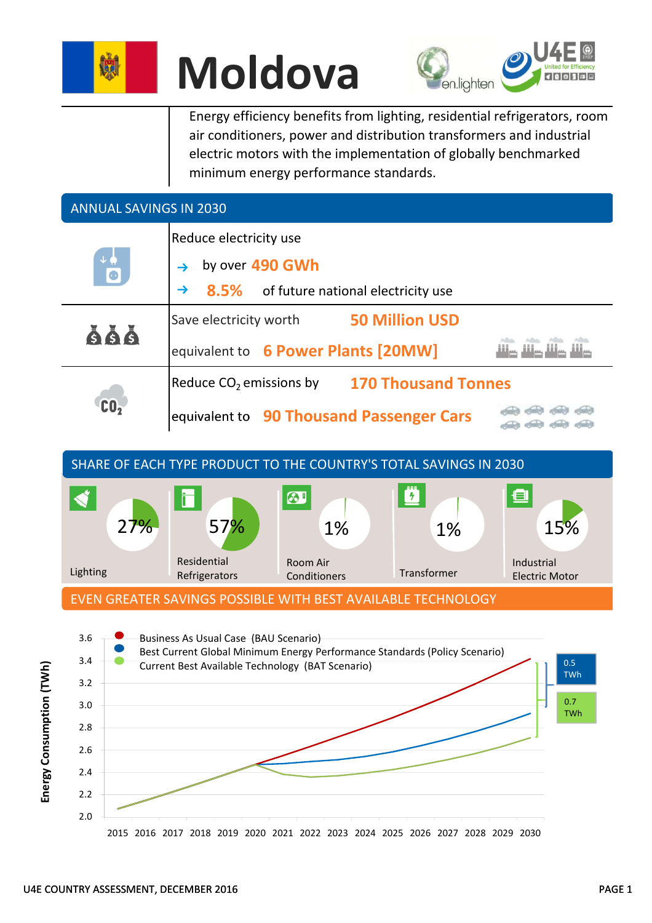





Energy efficiency benefits from lighting, residential refrigerators, room air conditioners, power and distribution transformers and industrial electric motors with the implementation of globally benchmarked minimum energy performance standards.

## ANNUAL SAVINGS IN 2030

| $+$ $\bullet$<br>$\bullet$ | Reduce electricity use                                   |                                          |  |  |  |  |
|----------------------------|----------------------------------------------------------|------------------------------------------|--|--|--|--|
|                            | by over 490 GWh                                          |                                          |  |  |  |  |
|                            | 8.5% of future national electricity use<br>$\rightarrow$ |                                          |  |  |  |  |
| 666                        | Save electricity worth                                   | <b>50 Million USD</b>                    |  |  |  |  |
|                            | equivalent to 6 Power Plants [20MW]                      |                                          |  |  |  |  |
| $c_0$                      | <b>170 Thousand Tonnes</b><br>Reduce $CO2$ emissions by  |                                          |  |  |  |  |
|                            |                                                          | equivalent to 90 Thousand Passenger Cars |  |  |  |  |



EVEN GREATER SAVINGS POSSIBLE WITH BEST AVAILABLE TECHNOLOGY

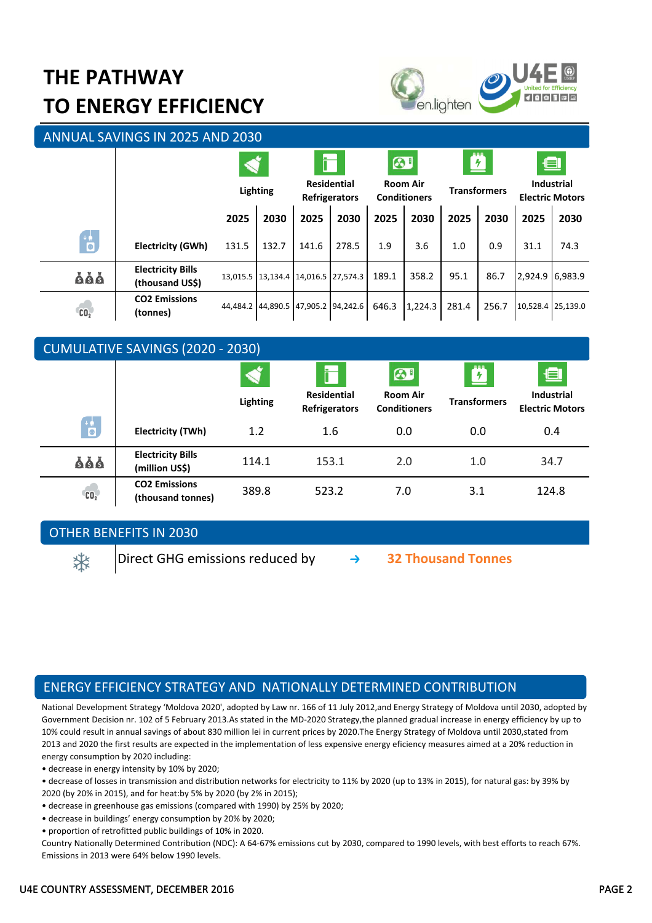## **THE PATHWAY TO ENERGY EFFICIENCY**



ANNUAL SAVINGS IN 2025 AND 2030

|                 |                                             | Lighting |       | i<br><b>Residential</b><br><b>Refrigerators</b> |       | $\odot$<br><b>Room Air</b><br><b>Conditioners</b> |         | <b>Ø</b><br><b>Transformers</b> |       | 鱼<br><b>Industrial</b><br><b>Electric Motors</b> |      |
|-----------------|---------------------------------------------|----------|-------|-------------------------------------------------|-------|---------------------------------------------------|---------|---------------------------------|-------|--------------------------------------------------|------|
|                 |                                             | 2025     | 2030  | 2025                                            | 2030  | 2025                                              | 2030    | 2025                            | 2030  | 2025                                             | 2030 |
| 6               | <b>Electricity (GWh)</b>                    | 131.5    | 132.7 | 141.6                                           | 278.5 | 1.9                                               | 3.6     | 1.0                             | 0.9   | 31.1                                             | 74.3 |
| ăăă             | <b>Electricity Bills</b><br>(thousand US\$) |          |       | 13,015.5 13,134.4 14,016.5 27,574.3             |       | 189.1                                             | 358.2   | 95.1                            | 86.7  | 2,924.9 6,983.9                                  |      |
| CO <sub>2</sub> | <b>CO2 Emissions</b><br>(tonnes)            |          |       | 44,484.2 44,890.5 47,905.2 94,242.6             |       | 646.3                                             | 1,224.3 | 281.4                           | 256.7 | 10,528.4 25,139.0                                |      |

| <b>CUMULATIVE SAVINGS (2020 - 2030)</b> |                                            |                 |                                            |                                        |                     |                                             |  |  |
|-----------------------------------------|--------------------------------------------|-----------------|--------------------------------------------|----------------------------------------|---------------------|---------------------------------------------|--|--|
|                                         |                                            |                 | i                                          | 61                                     | <b>Z</b>            | ▣                                           |  |  |
|                                         |                                            | <b>Lighting</b> | <b>Residential</b><br><b>Refrigerators</b> | <b>Room Air</b><br><b>Conditioners</b> | <b>Transformers</b> | <b>Industrial</b><br><b>Electric Motors</b> |  |  |
| $\overline{\mathbf{B}}$                 | Electricity (TWh)                          | 1.2             | 1.6                                        | 0.0                                    | 0.0                 | 0.4                                         |  |  |
| ăăă                                     | <b>Electricity Bills</b><br>(million US\$) | 114.1           | 153.1                                      | 2.0                                    | 1.0                 | 34.7                                        |  |  |
| CO <sub>2</sub>                         | <b>CO2 Emissions</b><br>(thousand tonnes)  | 389.8           | 523.2                                      | 7.0                                    | 3.1                 | 124.8                                       |  |  |

### OTHER BENEFITS IN 2030

Direct GHG emissions reduced by **32 Thousand Tonnes**

## ENERGY EFFICIENCY STRATEGY AND NATIONALLY DETERMINED CONTRIBUTION

National Development Strategy 'Moldova 2020', adopted by Law nr. 166 of 11 July 2012,and Energy Strategy of Moldova until 2030, adopted by Government Decision nr. 102 of 5 February 2013.As stated in the MD-2020 Strategy,the planned gradual increase in energy efficiency by up to 10% could result in annual savings of about 830 million lei in current prices by 2020. The Energy Strategy of Moldova until 2030, stated from 2013 and 2020 the first results are expected in the implementation of less expensive energy eficiency measures aimed at a 20% reduction in energy consumption by 2020 including:

• decrease in energy intensity by 10% by 2020;

- decrease of losses in transmission and distribution networks for electricity to 11% by 2020 (up to 13% in 2015), for natural gas: by 39% by
- 2020 (by 20% in 2015), and for heat:by 5% by 2020 (by 2% in 2015);
- decrease in greenhouse gas emissions (compared with 1990) by 25% by 2020;
- decrease in buildings' energy consumption by 20% by 2020;
- proportion of retrofitted public buildings of 10% in 2020.

Country Nationally Determined Contribution (NDC): A 64-67% emissions cut by 2030, compared to 1990 levels, with best efforts to reach 67%. Emissions in 2013 were 64% below 1990 levels.

柒